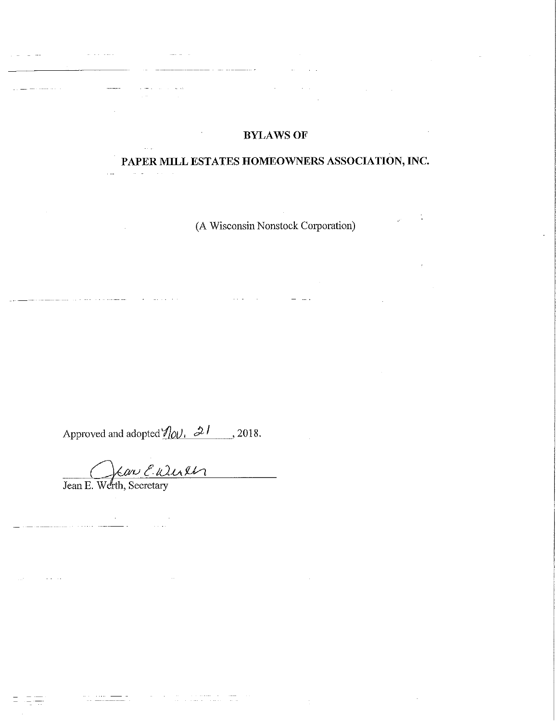# **BYLAWS OF**

# PAPER MILL ESTATES HOMEOWNERS ASSOCIATION, INC.

(A Wisconsin Nonstock Corporation)

Approved and adopted  $\frac{\partial v}{\partial y}$ ,  $\frac{\partial l}{\partial z}$ , 2018.

Jean E. Werth, Secretary

<u>.</u><br>2006 - Jacob

a<br><del>Conce</del>llation (Concellent Concellent)

والمناول والمنافس والمتعاقب والمستعقب والمتعاون والمناو

and a straight

 $\bar{z}$ 

 $\label{eq:1} \begin{array}{lll} \mathcal{L}_{\text{max}} & \mathcal{L}_{\text{max}} & \mathcal{L}_{\text{max}} \end{array}$ 

المحادث الماجية

 $\mathcal{L}_{\text{max}}$  and  $\mathcal{L}_{\text{max}}$ 

 $\mathcal{A}^{\mathcal{A}}_{\mathcal{A}}$  and  $\mathcal{A}^{\mathcal{A}}_{\mathcal{A}}$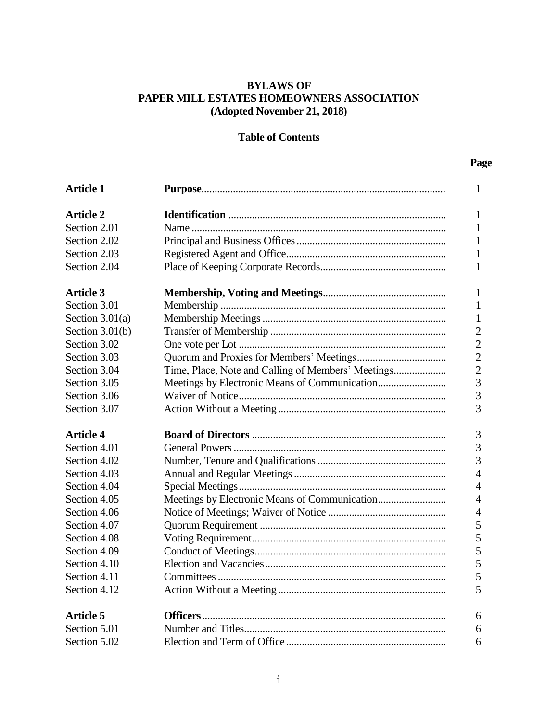# **BYLAWS OF PAPER MILL ESTATES HOMEOWNERS ASSOCIATION (Adopted November 21, 2018)**

# **Table of Contents**

| <b>Article 1</b>  |  |
|-------------------|--|
| <b>Article 2</b>  |  |
| Section 2.01      |  |
| Section 2.02      |  |
| Section 2.03      |  |
| Section 2.04      |  |
| <b>Article 3</b>  |  |
| Section 3.01      |  |
| Section $3.01(a)$ |  |
| Section $3.01(b)$ |  |
| Section 3.02      |  |
| Section 3.03      |  |
| Section 3.04      |  |
| Section 3.05      |  |
| Section 3.06      |  |
| Section 3.07      |  |
| <b>Article 4</b>  |  |
| Section 4.01      |  |
| Section 4.02      |  |
| Section 4.03      |  |
| Section 4.04      |  |
| Section 4.05      |  |
| Section 4.06      |  |
| Section 4.07      |  |
| Section 4.08      |  |
| Section 4.09      |  |
| Section 4.10      |  |
| Section 4.11      |  |
| Section 4.12      |  |
| <b>Article 5</b>  |  |
| Section 5.01      |  |
| Section 5.02      |  |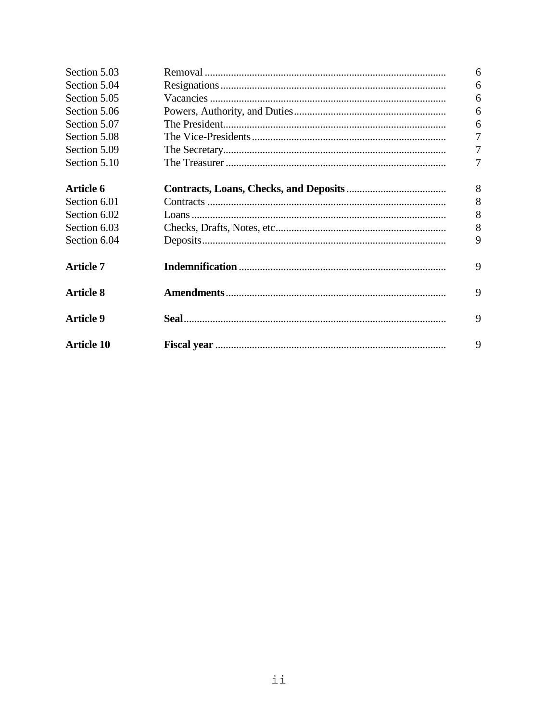| Section 5.03      | 6              |
|-------------------|----------------|
| Section 5.04      | 6              |
| Section 5.05      | 6              |
| Section 5.06      | 6              |
| Section 5.07      | 6              |
| Section 5.08      | $\overline{7}$ |
| Section 5.09      | 7              |
| Section 5.10      |                |
|                   |                |
| <b>Article 6</b>  | 8              |
| Section 6.01      | 8              |
| Section 6.02      | 8              |
| Section 6.03      | 8              |
| Section 6.04      | 9              |
| <b>Article 7</b>  | 9              |
| <b>Article 8</b>  | 9              |
| <b>Article 9</b>  | 9              |
| <b>Article 10</b> | 9              |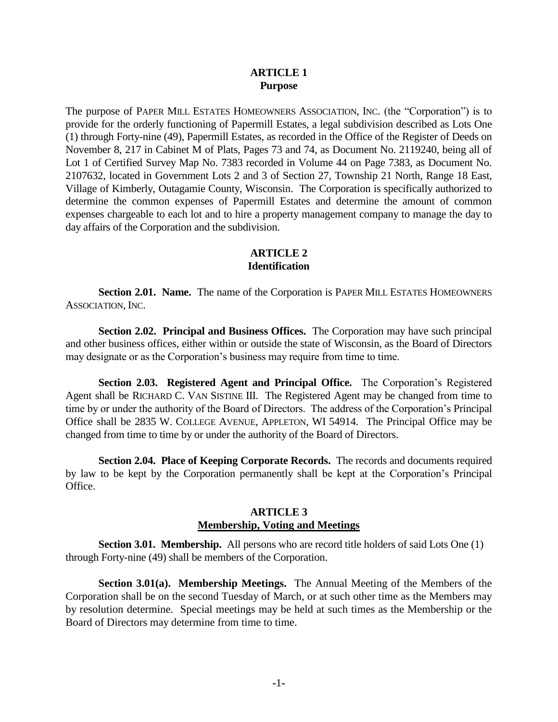## **ARTICLE 1 Purpose**

The purpose of PAPER MILL ESTATES HOMEOWNERS ASSOCIATION, INC. (the "Corporation") is to provide for the orderly functioning of Papermill Estates, a legal subdivision described as Lots One (1) through Forty-nine (49), Papermill Estates, as recorded in the Office of the Register of Deeds on November 8, 217 in Cabinet M of Plats, Pages 73 and 74, as Document No. 2119240, being all of Lot 1 of Certified Survey Map No. 7383 recorded in Volume 44 on Page 7383, as Document No. 2107632, located in Government Lots 2 and 3 of Section 27, Township 21 North, Range 18 East, Village of Kimberly, Outagamie County, Wisconsin. The Corporation is specifically authorized to determine the common expenses of Papermill Estates and determine the amount of common expenses chargeable to each lot and to hire a property management company to manage the day to day affairs of the Corporation and the subdivision.

## **ARTICLE 2 Identification**

**Section 2.01. Name.** The name of the Corporation is PAPER MILL ESTATES HOMEOWNERS ASSOCIATION, INC.

**Section 2.02. Principal and Business Offices.** The Corporation may have such principal and other business offices, either within or outside the state of Wisconsin, as the Board of Directors may designate or as the Corporation's business may require from time to time.

**Section 2.03. Registered Agent and Principal Office.** The Corporation's Registered Agent shall be RICHARD C. VAN SISTINE III. The Registered Agent may be changed from time to time by or under the authority of the Board of Directors. The address of the Corporation's Principal Office shall be 2835 W. COLLEGE AVENUE, APPLETON, WI 54914. The Principal Office may be changed from time to time by or under the authority of the Board of Directors.

**Section 2.04. Place of Keeping Corporate Records.** The records and documents required by law to be kept by the Corporation permanently shall be kept at the Corporation's Principal Office.

## **ARTICLE 3 Membership, Voting and Meetings**

**Section 3.01. Membership.** All persons who are record title holders of said Lots One (1) through Forty-nine (49) shall be members of the Corporation.

**Section 3.01(a). Membership Meetings.** The Annual Meeting of the Members of the Corporation shall be on the second Tuesday of March, or at such other time as the Members may by resolution determine. Special meetings may be held at such times as the Membership or the Board of Directors may determine from time to time.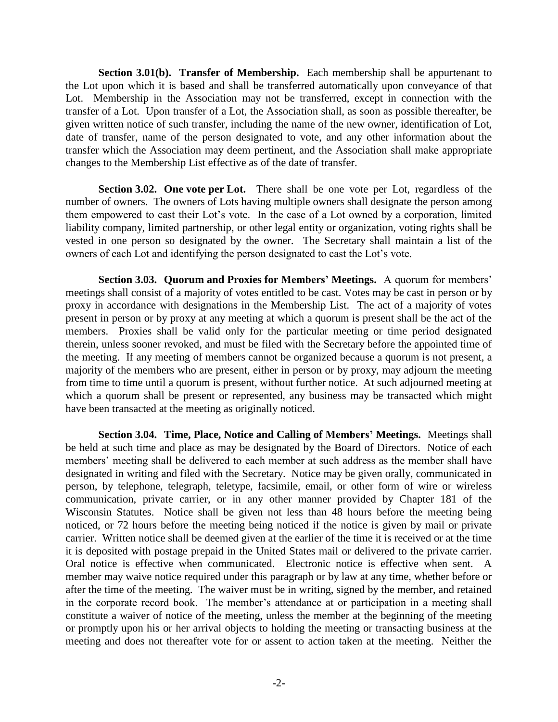**Section 3.01(b). Transfer of Membership.** Each membership shall be appurtenant to the Lot upon which it is based and shall be transferred automatically upon conveyance of that Lot. Membership in the Association may not be transferred, except in connection with the transfer of a Lot. Upon transfer of a Lot, the Association shall, as soon as possible thereafter, be given written notice of such transfer, including the name of the new owner, identification of Lot, date of transfer, name of the person designated to vote, and any other information about the transfer which the Association may deem pertinent, and the Association shall make appropriate changes to the Membership List effective as of the date of transfer.

**Section 3.02. One vote per Lot.** There shall be one vote per Lot, regardless of the number of owners. The owners of Lots having multiple owners shall designate the person among them empowered to cast their Lot's vote. In the case of a Lot owned by a corporation, limited liability company, limited partnership, or other legal entity or organization, voting rights shall be vested in one person so designated by the owner. The Secretary shall maintain a list of the owners of each Lot and identifying the person designated to cast the Lot's vote.

**Section 3.03. Quorum and Proxies for Members' Meetings.** A quorum for members' meetings shall consist of a majority of votes entitled to be cast. Votes may be cast in person or by proxy in accordance with designations in the Membership List. The act of a majority of votes present in person or by proxy at any meeting at which a quorum is present shall be the act of the members. Proxies shall be valid only for the particular meeting or time period designated therein, unless sooner revoked, and must be filed with the Secretary before the appointed time of the meeting. If any meeting of members cannot be organized because a quorum is not present, a majority of the members who are present, either in person or by proxy, may adjourn the meeting from time to time until a quorum is present, without further notice. At such adjourned meeting at which a quorum shall be present or represented, any business may be transacted which might have been transacted at the meeting as originally noticed.

**Section 3.04. Time, Place, Notice and Calling of Members' Meetings.** Meetings shall be held at such time and place as may be designated by the Board of Directors. Notice of each members' meeting shall be delivered to each member at such address as the member shall have designated in writing and filed with the Secretary. Notice may be given orally, communicated in person, by telephone, telegraph, teletype, facsimile, email, or other form of wire or wireless communication, private carrier, or in any other manner provided by Chapter 181 of the Wisconsin Statutes. Notice shall be given not less than 48 hours before the meeting being noticed, or 72 hours before the meeting being noticed if the notice is given by mail or private carrier. Written notice shall be deemed given at the earlier of the time it is received or at the time it is deposited with postage prepaid in the United States mail or delivered to the private carrier. Oral notice is effective when communicated. Electronic notice is effective when sent. A member may waive notice required under this paragraph or by law at any time, whether before or after the time of the meeting. The waiver must be in writing, signed by the member, and retained in the corporate record book. The member's attendance at or participation in a meeting shall constitute a waiver of notice of the meeting, unless the member at the beginning of the meeting or promptly upon his or her arrival objects to holding the meeting or transacting business at the meeting and does not thereafter vote for or assent to action taken at the meeting. Neither the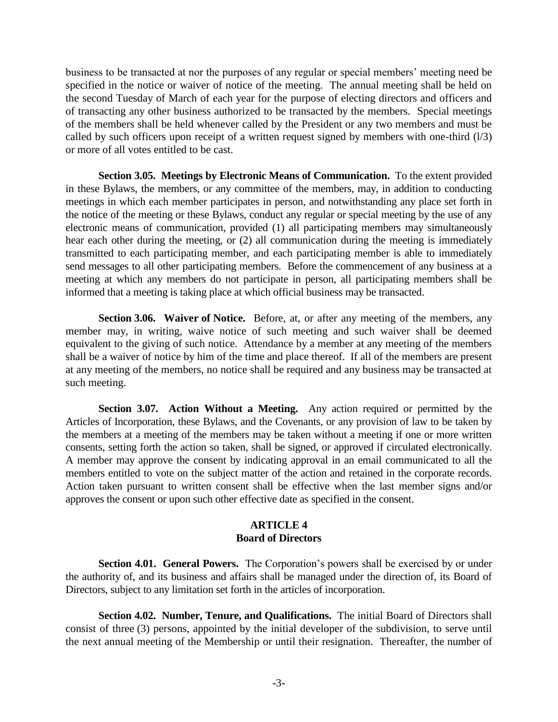business to be transacted at nor the purposes of any regular or special members' meeting need be specified in the notice or waiver of notice of the meeting. The annual meeting shall be held on the second Tuesday of March of each year for the purpose of electing directors and officers and of transacting any other business authorized to be transacted by the members. Special meetings of the members shall be held whenever called by the President or any two members and must be called by such officers upon receipt of a written request signed by members with one-third (l/3) or more of all votes entitled to be cast.

**Section 3.05. Meetings by Electronic Means of Communication.** To the extent provided in these Bylaws, the members, or any committee of the members, may, in addition to conducting meetings in which each member participates in person, and notwithstanding any place set forth in the notice of the meeting or these Bylaws, conduct any regular or special meeting by the use of any electronic means of communication, provided (1) all participating members may simultaneously hear each other during the meeting, or (2) all communication during the meeting is immediately transmitted to each participating member, and each participating member is able to immediately send messages to all other participating members. Before the commencement of any business at a meeting at which any members do not participate in person, all participating members shall be informed that a meeting is taking place at which official business may be transacted.

**Section 3.06. Waiver of Notice.** Before, at, or after any meeting of the members, any member may, in writing, waive notice of such meeting and such waiver shall be deemed equivalent to the giving of such notice. Attendance by a member at any meeting of the members shall be a waiver of notice by him of the time and place thereof. If all of the members are present at any meeting of the members, no notice shall be required and any business may be transacted at such meeting.

**Section 3.07. Action Without a Meeting.** Any action required or permitted by the Articles of Incorporation, these Bylaws, and the Covenants, or any provision of law to be taken by the members at a meeting of the members may be taken without a meeting if one or more written consents, setting forth the action so taken, shall be signed, or approved if circulated electronically. A member may approve the consent by indicating approval in an email communicated to all the members entitled to vote on the subject matter of the action and retained in the corporate records. Action taken pursuant to written consent shall be effective when the last member signs and/or approves the consent or upon such other effective date as specified in the consent.

### **ARTICLE 4 Board of Directors**

**Section 4.01. General Powers.** The Corporation's powers shall be exercised by or under the authority of, and its business and affairs shall be managed under the direction of, its Board of Directors, subject to any limitation set forth in the articles of incorporation.

**Section 4.02. Number, Tenure, and Qualifications.** The initial Board of Directors shall consist of three (3) persons, appointed by the initial developer of the subdivision, to serve until the next annual meeting of the Membership or until their resignation. Thereafter, the number of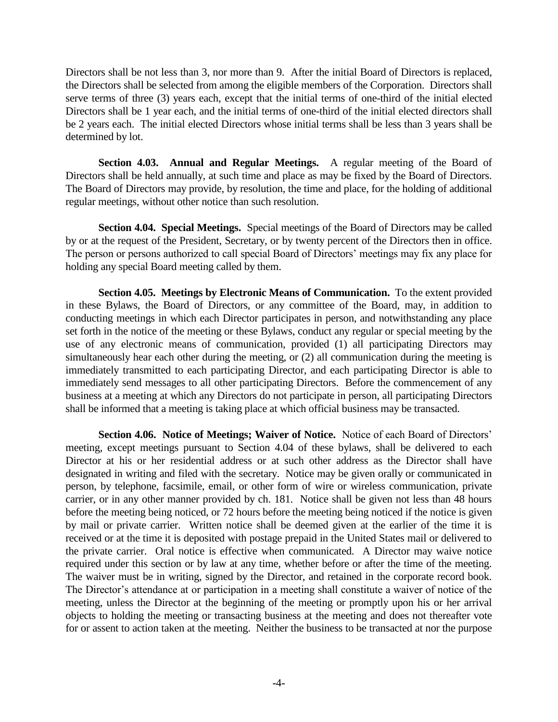Directors shall be not less than 3, nor more than 9. After the initial Board of Directors is replaced, the Directors shall be selected from among the eligible members of the Corporation. Directors shall serve terms of three (3) years each, except that the initial terms of one-third of the initial elected Directors shall be 1 year each, and the initial terms of one-third of the initial elected directors shall be 2 years each. The initial elected Directors whose initial terms shall be less than 3 years shall be determined by lot.

**Section 4.03. Annual and Regular Meetings.** A regular meeting of the Board of Directors shall be held annually, at such time and place as may be fixed by the Board of Directors. The Board of Directors may provide, by resolution, the time and place, for the holding of additional regular meetings, without other notice than such resolution.

**Section 4.04. Special Meetings.** Special meetings of the Board of Directors may be called by or at the request of the President, Secretary, or by twenty percent of the Directors then in office. The person or persons authorized to call special Board of Directors' meetings may fix any place for holding any special Board meeting called by them.

**Section 4.05. Meetings by Electronic Means of Communication.** To the extent provided in these Bylaws, the Board of Directors, or any committee of the Board, may, in addition to conducting meetings in which each Director participates in person, and notwithstanding any place set forth in the notice of the meeting or these Bylaws, conduct any regular or special meeting by the use of any electronic means of communication, provided (1) all participating Directors may simultaneously hear each other during the meeting, or (2) all communication during the meeting is immediately transmitted to each participating Director, and each participating Director is able to immediately send messages to all other participating Directors. Before the commencement of any business at a meeting at which any Directors do not participate in person, all participating Directors shall be informed that a meeting is taking place at which official business may be transacted.

**Section 4.06. Notice of Meetings; Waiver of Notice.** Notice of each Board of Directors' meeting, except meetings pursuant to Section 4.04 of these bylaws, shall be delivered to each Director at his or her residential address or at such other address as the Director shall have designated in writing and filed with the secretary. Notice may be given orally or communicated in person, by telephone, facsimile, email, or other form of wire or wireless communication, private carrier, or in any other manner provided by ch. 181. Notice shall be given not less than 48 hours before the meeting being noticed, or 72 hours before the meeting being noticed if the notice is given by mail or private carrier. Written notice shall be deemed given at the earlier of the time it is received or at the time it is deposited with postage prepaid in the United States mail or delivered to the private carrier. Oral notice is effective when communicated. A Director may waive notice required under this section or by law at any time, whether before or after the time of the meeting. The waiver must be in writing, signed by the Director, and retained in the corporate record book. The Director's attendance at or participation in a meeting shall constitute a waiver of notice of the meeting, unless the Director at the beginning of the meeting or promptly upon his or her arrival objects to holding the meeting or transacting business at the meeting and does not thereafter vote for or assent to action taken at the meeting. Neither the business to be transacted at nor the purpose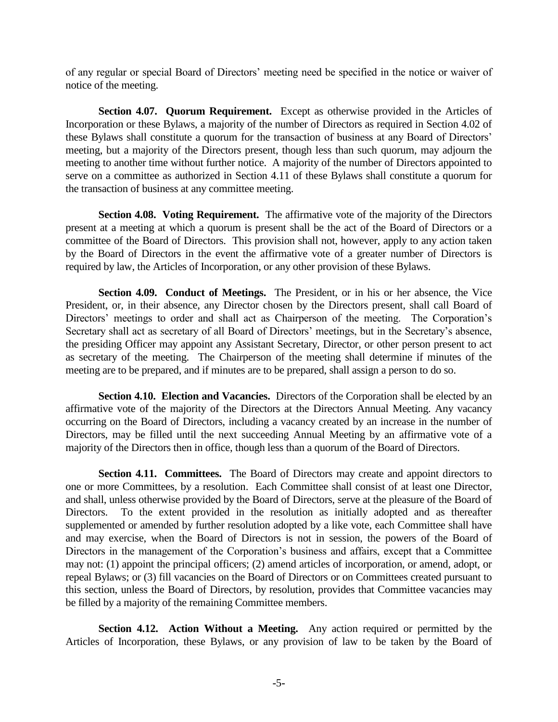of any regular or special Board of Directors' meeting need be specified in the notice or waiver of notice of the meeting.

**Section 4.07. Quorum Requirement.** Except as otherwise provided in the Articles of Incorporation or these Bylaws, a majority of the number of Directors as required in Section 4.02 of these Bylaws shall constitute a quorum for the transaction of business at any Board of Directors' meeting, but a majority of the Directors present, though less than such quorum, may adjourn the meeting to another time without further notice. A majority of the number of Directors appointed to serve on a committee as authorized in Section 4.11 of these Bylaws shall constitute a quorum for the transaction of business at any committee meeting.

**Section 4.08. Voting Requirement.** The affirmative vote of the majority of the Directors present at a meeting at which a quorum is present shall be the act of the Board of Directors or a committee of the Board of Directors. This provision shall not, however, apply to any action taken by the Board of Directors in the event the affirmative vote of a greater number of Directors is required by law, the Articles of Incorporation, or any other provision of these Bylaws.

**Section 4.09. Conduct of Meetings.** The President, or in his or her absence, the Vice President, or, in their absence, any Director chosen by the Directors present, shall call Board of Directors' meetings to order and shall act as Chairperson of the meeting. The Corporation's Secretary shall act as secretary of all Board of Directors' meetings, but in the Secretary's absence, the presiding Officer may appoint any Assistant Secretary, Director, or other person present to act as secretary of the meeting. The Chairperson of the meeting shall determine if minutes of the meeting are to be prepared, and if minutes are to be prepared, shall assign a person to do so.

**Section 4.10. Election and Vacancies.** Directors of the Corporation shall be elected by an affirmative vote of the majority of the Directors at the Directors Annual Meeting. Any vacancy occurring on the Board of Directors, including a vacancy created by an increase in the number of Directors, may be filled until the next succeeding Annual Meeting by an affirmative vote of a majority of the Directors then in office, though less than a quorum of the Board of Directors.

**Section 4.11. Committees.** The Board of Directors may create and appoint directors to one or more Committees, by a resolution. Each Committee shall consist of at least one Director, and shall, unless otherwise provided by the Board of Directors, serve at the pleasure of the Board of Directors. To the extent provided in the resolution as initially adopted and as thereafter supplemented or amended by further resolution adopted by a like vote, each Committee shall have and may exercise, when the Board of Directors is not in session, the powers of the Board of Directors in the management of the Corporation's business and affairs, except that a Committee may not: (1) appoint the principal officers; (2) amend articles of incorporation, or amend, adopt, or repeal Bylaws; or (3) fill vacancies on the Board of Directors or on Committees created pursuant to this section, unless the Board of Directors, by resolution, provides that Committee vacancies may be filled by a majority of the remaining Committee members.

**Section 4.12. Action Without a Meeting.** Any action required or permitted by the Articles of Incorporation, these Bylaws, or any provision of law to be taken by the Board of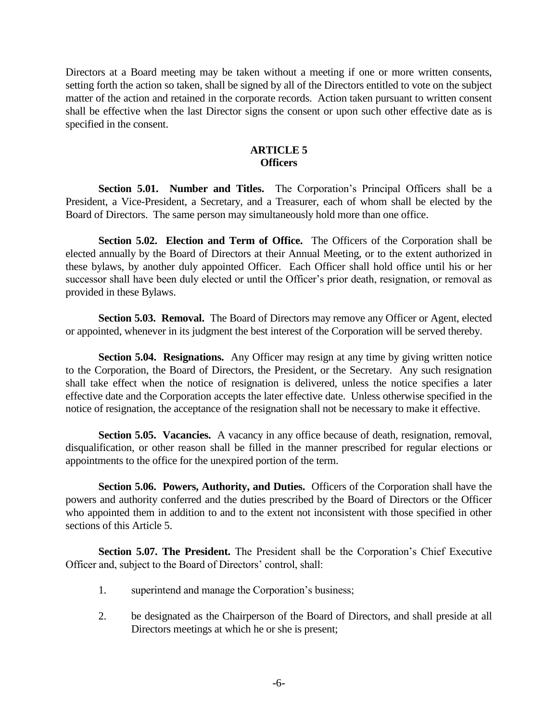Directors at a Board meeting may be taken without a meeting if one or more written consents, setting forth the action so taken, shall be signed by all of the Directors entitled to vote on the subject matter of the action and retained in the corporate records. Action taken pursuant to written consent shall be effective when the last Director signs the consent or upon such other effective date as is specified in the consent.

## **ARTICLE 5 Officers**

**Section 5.01. Number and Titles.** The Corporation's Principal Officers shall be a President, a Vice-President, a Secretary, and a Treasurer, each of whom shall be elected by the Board of Directors. The same person may simultaneously hold more than one office.

**Section 5.02. Election and Term of Office.** The Officers of the Corporation shall be elected annually by the Board of Directors at their Annual Meeting, or to the extent authorized in these bylaws, by another duly appointed Officer. Each Officer shall hold office until his or her successor shall have been duly elected or until the Officer's prior death, resignation, or removal as provided in these Bylaws.

**Section 5.03. Removal.** The Board of Directors may remove any Officer or Agent, elected or appointed, whenever in its judgment the best interest of the Corporation will be served thereby.

**Section 5.04. Resignations.** Any Officer may resign at any time by giving written notice to the Corporation, the Board of Directors, the President, or the Secretary. Any such resignation shall take effect when the notice of resignation is delivered, unless the notice specifies a later effective date and the Corporation accepts the later effective date. Unless otherwise specified in the notice of resignation, the acceptance of the resignation shall not be necessary to make it effective.

**Section 5.05. Vacancies.** A vacancy in any office because of death, resignation, removal, disqualification, or other reason shall be filled in the manner prescribed for regular elections or appointments to the office for the unexpired portion of the term.

**Section 5.06. Powers, Authority, and Duties.** Officers of the Corporation shall have the powers and authority conferred and the duties prescribed by the Board of Directors or the Officer who appointed them in addition to and to the extent not inconsistent with those specified in other sections of this Article 5.

**Section 5.07. The President.** The President shall be the Corporation's Chief Executive Officer and, subject to the Board of Directors' control, shall:

- 1. superintend and manage the Corporation's business;
- 2. be designated as the Chairperson of the Board of Directors, and shall preside at all Directors meetings at which he or she is present;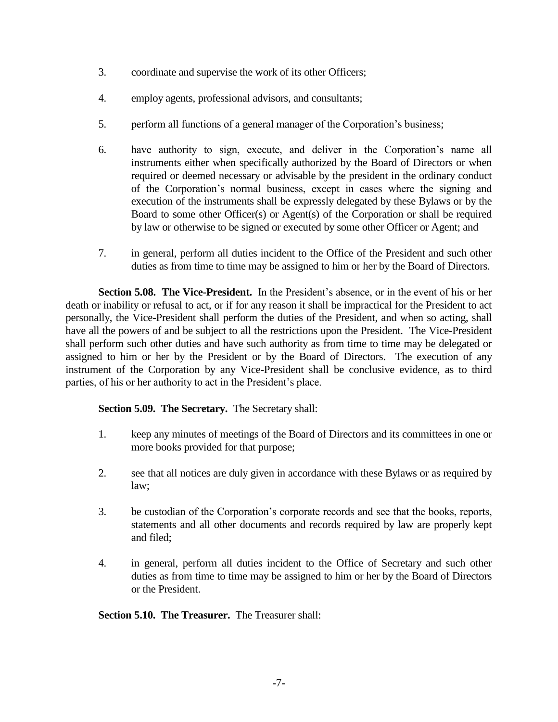- 3. coordinate and supervise the work of its other Officers;
- 4. employ agents, professional advisors, and consultants;
- 5. perform all functions of a general manager of the Corporation's business;
- 6. have authority to sign, execute, and deliver in the Corporation's name all instruments either when specifically authorized by the Board of Directors or when required or deemed necessary or advisable by the president in the ordinary conduct of the Corporation's normal business, except in cases where the signing and execution of the instruments shall be expressly delegated by these Bylaws or by the Board to some other Officer(s) or Agent(s) of the Corporation or shall be required by law or otherwise to be signed or executed by some other Officer or Agent; and
- 7. in general, perform all duties incident to the Office of the President and such other duties as from time to time may be assigned to him or her by the Board of Directors.

**Section 5.08. The Vice-President.** In the President's absence, or in the event of his or her death or inability or refusal to act, or if for any reason it shall be impractical for the President to act personally, the Vice-President shall perform the duties of the President, and when so acting, shall have all the powers of and be subject to all the restrictions upon the President. The Vice-President shall perform such other duties and have such authority as from time to time may be delegated or assigned to him or her by the President or by the Board of Directors. The execution of any instrument of the Corporation by any Vice-President shall be conclusive evidence, as to third parties, of his or her authority to act in the President's place.

**Section 5.09. The Secretary.** The Secretary shall:

- 1. keep any minutes of meetings of the Board of Directors and its committees in one or more books provided for that purpose;
- 2. see that all notices are duly given in accordance with these Bylaws or as required by law;
- 3. be custodian of the Corporation's corporate records and see that the books, reports, statements and all other documents and records required by law are properly kept and filed;
- 4. in general, perform all duties incident to the Office of Secretary and such other duties as from time to time may be assigned to him or her by the Board of Directors or the President.

**Section 5.10. The Treasurer.** The Treasurer shall: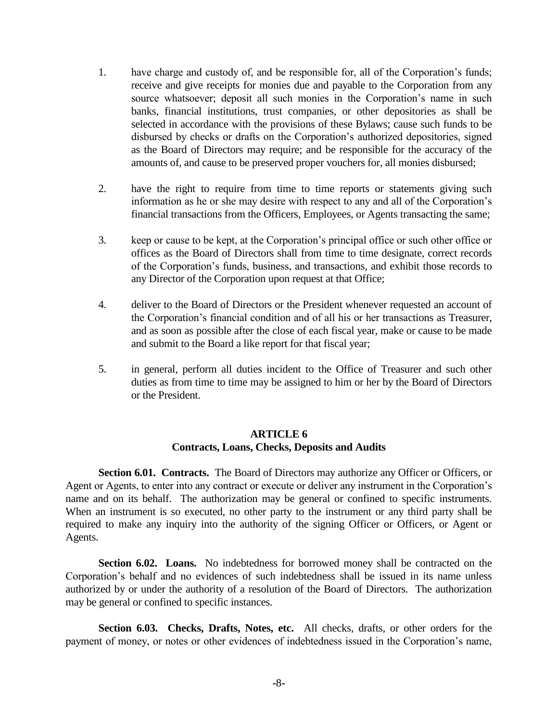- 1. have charge and custody of, and be responsible for, all of the Corporation's funds; receive and give receipts for monies due and payable to the Corporation from any source whatsoever; deposit all such monies in the Corporation's name in such banks, financial institutions, trust companies, or other depositories as shall be selected in accordance with the provisions of these Bylaws; cause such funds to be disbursed by checks or drafts on the Corporation's authorized depositories, signed as the Board of Directors may require; and be responsible for the accuracy of the amounts of, and cause to be preserved proper vouchers for, all monies disbursed;
- 2. have the right to require from time to time reports or statements giving such information as he or she may desire with respect to any and all of the Corporation's financial transactions from the Officers, Employees, or Agents transacting the same;
- 3. keep or cause to be kept, at the Corporation's principal office or such other office or offices as the Board of Directors shall from time to time designate, correct records of the Corporation's funds, business, and transactions, and exhibit those records to any Director of the Corporation upon request at that Office;
- 4. deliver to the Board of Directors or the President whenever requested an account of the Corporation's financial condition and of all his or her transactions as Treasurer, and as soon as possible after the close of each fiscal year, make or cause to be made and submit to the Board a like report for that fiscal year;
- 5. in general, perform all duties incident to the Office of Treasurer and such other duties as from time to time may be assigned to him or her by the Board of Directors or the President.

# **ARTICLE 6 Contracts, Loans, Checks, Deposits and Audits**

**Section 6.01. Contracts.** The Board of Directors may authorize any Officer or Officers, or Agent or Agents, to enter into any contract or execute or deliver any instrument in the Corporation's name and on its behalf. The authorization may be general or confined to specific instruments. When an instrument is so executed, no other party to the instrument or any third party shall be required to make any inquiry into the authority of the signing Officer or Officers, or Agent or Agents.

**Section 6.02. Loans.** No indebtedness for borrowed money shall be contracted on the Corporation's behalf and no evidences of such indebtedness shall be issued in its name unless authorized by or under the authority of a resolution of the Board of Directors. The authorization may be general or confined to specific instances.

**Section 6.03. Checks, Drafts, Notes, etc.** All checks, drafts, or other orders for the payment of money, or notes or other evidences of indebtedness issued in the Corporation's name,